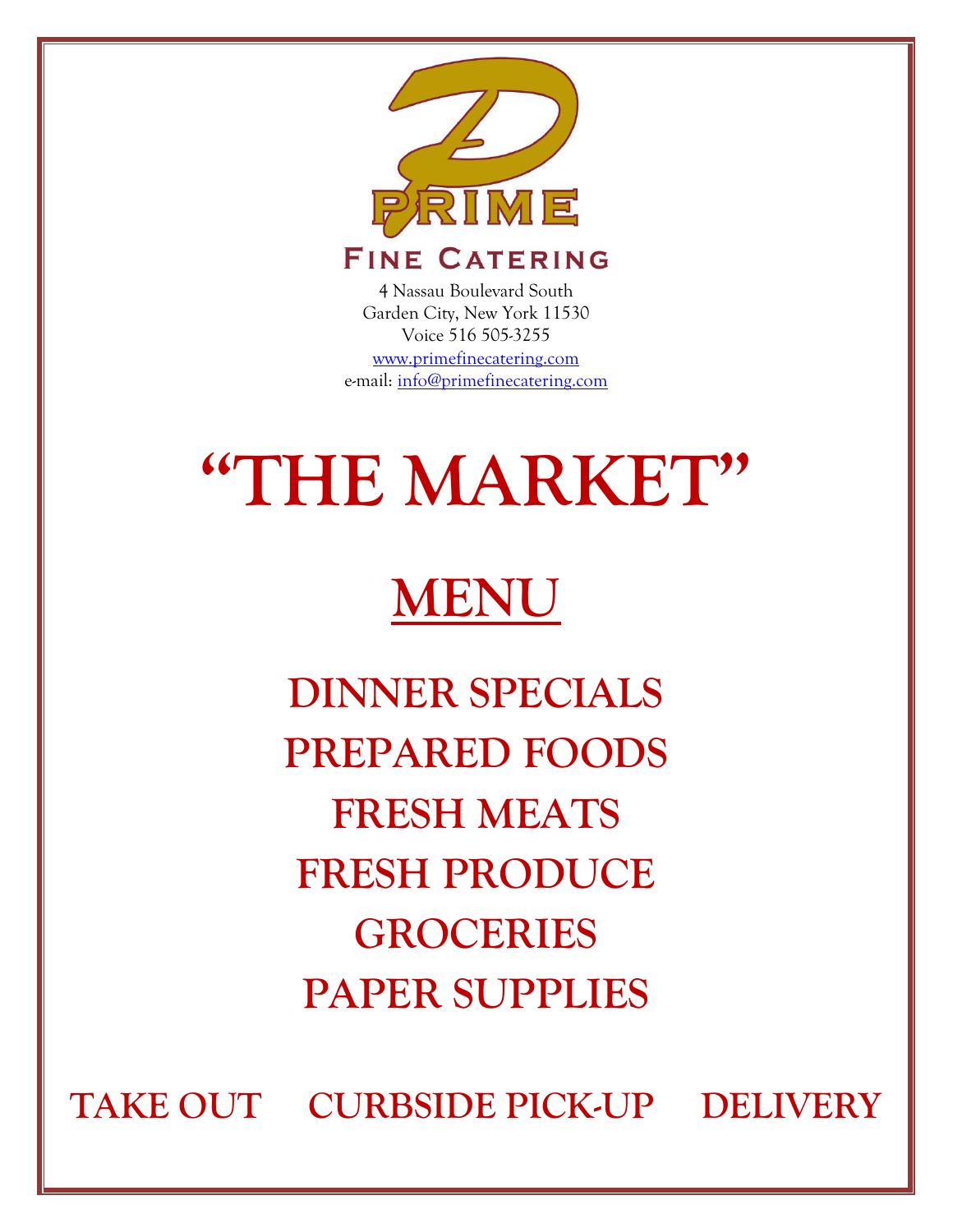

4 Nassau Boulevard South Garden City, New York 11530 Voice 516 505-3255 [www.primefinecatering.com](http://www.primefinecatering.com/) e-mail: [info@primefinecatering.com](file:///C:/Users/marc/AppData/Local/Home/PRIME%20Catering/Blank%20Catering%20Documents/info@primefinecatering.com)

# **"THE MARKET"**

## **MENU**

**DINNER SPECIALS PREPARED FOODS FRESH MEATS FRESH PRODUCE GROCERIES PAPER SUPPLIES**

**TAKE OUT CURBSIDE PICK-UP DELIVERY**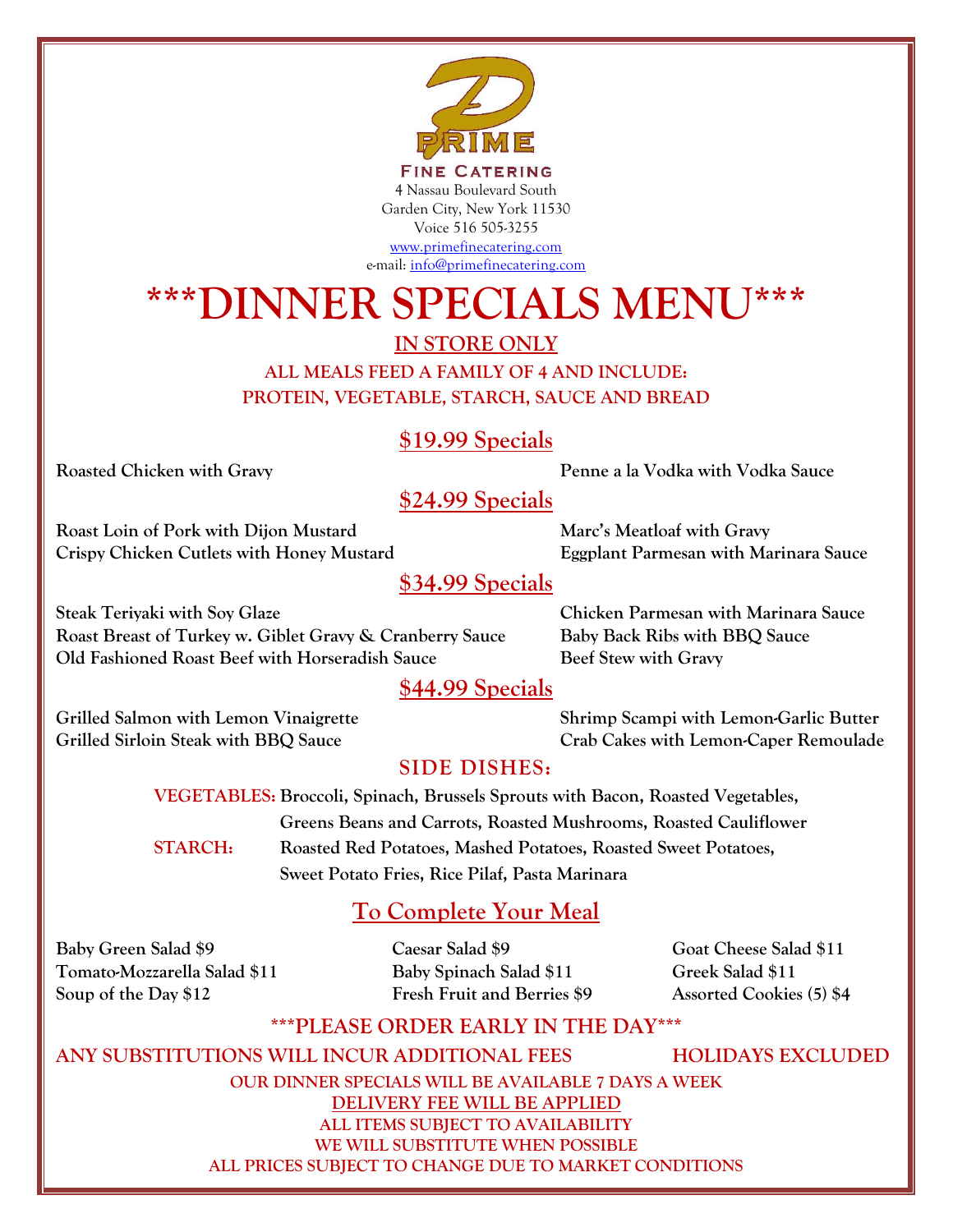

### **\*\*\*DINNER SPECIALS MENU\*\*\***

**IN STORE ONLY**

**ALL MEALS FEED A FAMILY OF 4 AND INCLUDE: PROTEIN, VEGETABLE, STARCH, SAUCE AND BREAD**

#### **\$19.99 Specials**

**Roasted Chicken with Gravy Penne a la Vodka with Vodka Sauce**

#### **\$24.99 Specials**

**Roast Loin of Pork with Dijon Mustard Marc's Meatloaf with Gravy Crispy Chicken Cutlets with Honey Mustard Eggplant Parmesan with Marinara Sauce**

#### **\$34.99 Specials**

**Steak Teriyaki with Soy Glaze Chicken Parmesan with Marinara Sauce Roast Breast of Turkey w. Giblet Gravy & Cranberry Sauce Baby Back Ribs with BBQ Sauce Old Fashioned Roast Beef with Horseradish Sauce Beef Stew with Gravy** 

#### **\$44.99 Specials**

**Grilled Salmon with Lemon Vinaigrette Shrimp Scampi with Lemon-Garlic Butter Grilled Sirloin Steak with BBQ Sauce Crab Cakes with Lemon-Caper Remoulade**

#### **SIDE DISHES:**

**VEGETABLES: Broccoli, Spinach, Brussels Sprouts with Bacon, Roasted Vegetables, Greens Beans and Carrots, Roasted Mushrooms, Roasted Cauliflower STARCH: Roasted Red Potatoes, Mashed Potatoes, Roasted Sweet Potatoes, Sweet Potato Fries, Rice Pilaf, Pasta Marinara**

#### **To Complete Your Meal**

**Baby Green Salad \$9 Caesar Salad \$9 Goat Cheese Salad \$11 Tomato-Mozzarella Salad \$11 Baby Spinach Salad \$11 Greek Salad \$11 Soup of the Day \$12 Fresh Fruit and Berries \$9 Assorted Cookies (5) \$4**

#### **\*\*\*PLEASE ORDER EARLY IN THE DAY\*\*\***

**ANY SUBSTITUTIONS WILL INCUR ADDITIONAL FEES HOLIDAYS EXCLUDED OUR DINNER SPECIALS WILL BE AVAILABLE 7 DAYS A WEEK DELIVERY FEE WILL BE APPLIED ALL ITEMS SUBJECT TO AVAILABILITY WE WILL SUBSTITUTE WHEN POSSIBLE ALL PRICES SUBJECT TO CHANGE DUE TO MARKET CONDITIONS**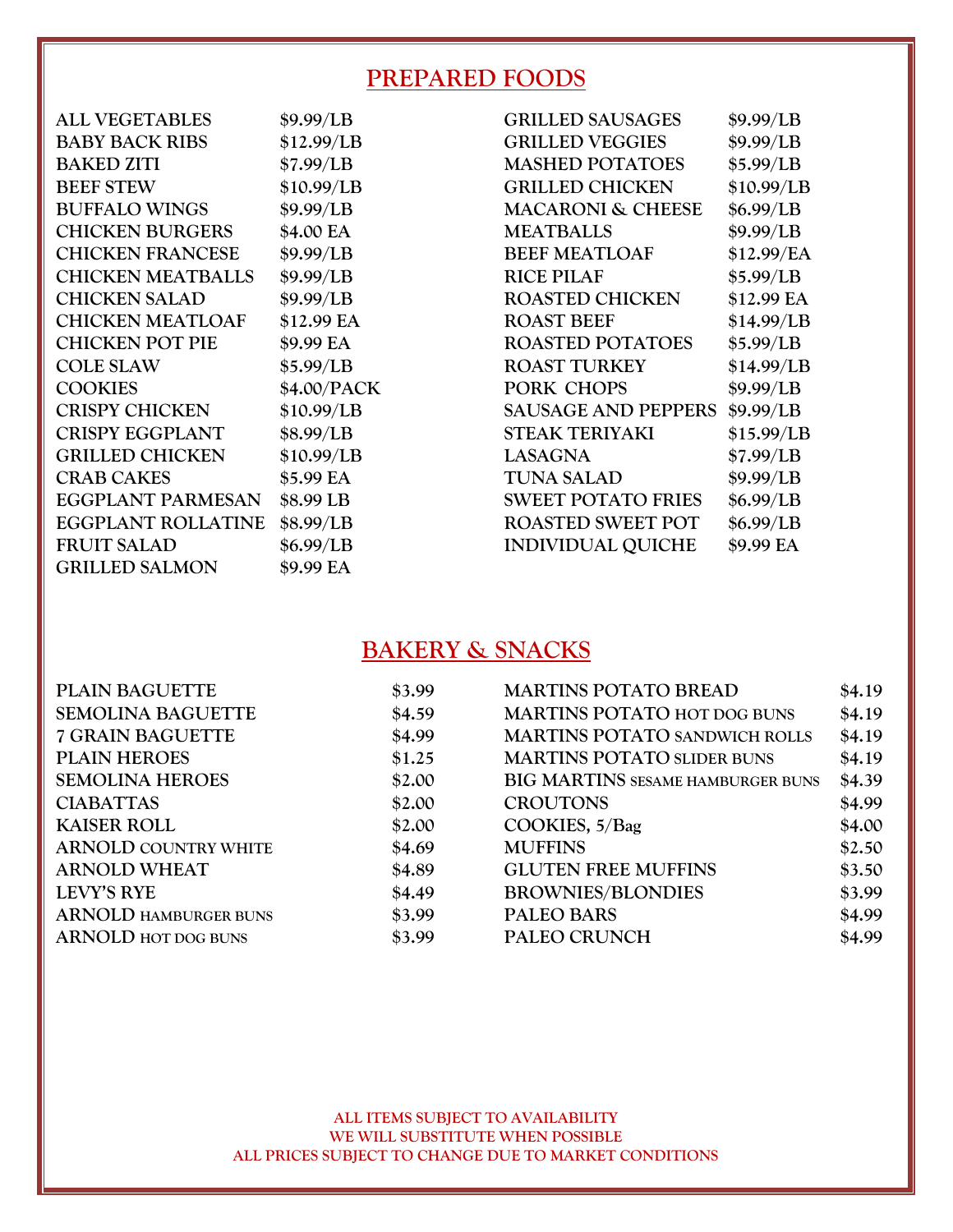#### **PREPARED FOODS**

| <b>ALL VEGETABLES</b>     | \$9.99/LB   | <b>GRILLED SAUSAGES</b>      | \$9.99/LB  |
|---------------------------|-------------|------------------------------|------------|
| <b>BABY BACK RIBS</b>     | \$12.99/LB  | <b>GRILLED VEGGIES</b>       | \$9.99/LB  |
| <b>BAKED ZITI</b>         | \$7.99/LB   | <b>MASHED POTATOES</b>       | \$5.99/LB  |
| <b>BEEF STEW</b>          | \$10.99/LB  | <b>GRILLED CHICKEN</b>       | \$10.99/LB |
| <b>BUFFALO WINGS</b>      | \$9.99/LB   | <b>MACARONI &amp; CHEESE</b> | \$6.99/LB  |
| <b>CHICKEN BURGERS</b>    | \$4.00 EA   | <b>MEATBALLS</b>             | \$9.99/LB  |
| <b>CHICKEN FRANCESE</b>   | \$9.99/LB   | <b>BEEF MEATLOAF</b>         | \$12.99/EA |
| <b>CHICKEN MEATBALLS</b>  | \$9.99/LB   | <b>RICE PILAF</b>            | \$5.99/LB  |
| <b>CHICKEN SALAD</b>      | \$9.99/LB   | <b>ROASTED CHICKEN</b>       | \$12.99 EA |
| <b>CHICKEN MEATLOAF</b>   | \$12.99 EA  | <b>ROAST BEEF</b>            | \$14.99/LB |
| <b>CHICKEN POT PIE</b>    | \$9.99 EA   | <b>ROASTED POTATOES</b>      | \$5.99/LB  |
| <b>COLE SLAW</b>          | \$5.99/LB   | <b>ROAST TURKEY</b>          | \$14.99/LB |
| <b>COOKIES</b>            | \$4.00/PACK | PORK CHOPS                   | \$9.99/LB  |
| <b>CRISPY CHICKEN</b>     | \$10.99/LB  | <b>SAUSAGE AND PEPPERS</b>   | \$9.99/LB  |
| <b>CRISPY EGGPLANT</b>    | \$8.99/LB   | <b>STEAK TERIYAKI</b>        | \$15.99/LB |
| <b>GRILLED CHICKEN</b>    | \$10.99/LB  | <b>LASAGNA</b>               | \$7.99/LB  |
| <b>CRAB CAKES</b>         | \$5.99 EA   | <b>TUNA SALAD</b>            | \$9.99/LB  |
| <b>EGGPLANT PARMESAN</b>  | \$8.99 LB   | <b>SWEET POTATO FRIES</b>    | \$6.99/LB  |
| <b>EGGPLANT ROLLATINE</b> | \$8.99/LB   | <b>ROASTED SWEET POT</b>     | \$6.99/LB  |
| <b>FRUIT SALAD</b>        | \$6.99/LB   | <b>INDIVIDUAL QUICHE</b>     | \$9.99 EA  |
| <b>GRILLED SALMON</b>     | \$9.99 EA   |                              |            |

#### **BAKERY & SNACKS**

| <b>PLAIN BAGUETTE</b>        | \$3.99 | <b>MARTINS POTATO BREAD</b>          | \$4.19 |
|------------------------------|--------|--------------------------------------|--------|
| <b>SEMOLINA BAGUETTE</b>     | \$4.59 | <b>MARTINS POTATO HOT DOG BUNS</b>   | \$4.19 |
| <b>7 GRAIN BAGUETTE</b>      | \$4.99 | <b>MARTINS POTATO SANDWICH ROLLS</b> | \$4.19 |
| <b>PLAIN HEROES</b>          | \$1.25 | <b>MARTINS POTATO SLIDER BUNS</b>    | \$4.19 |
| <b>SEMOLINA HEROES</b>       | \$2.00 | BIG MARTINS SESAME HAMBURGER BUNS    | \$4.39 |
| <b>CIABATTAS</b>             | \$2.00 | <b>CROUTONS</b>                      | \$4.99 |
| <b>KAISER ROLL</b>           | \$2.00 | COOKIES, 5/Bag                       | \$4.00 |
| <b>ARNOLD COUNTRY WHITE</b>  | \$4.69 | <b>MUFFINS</b>                       | \$2.50 |
| <b>ARNOLD WHEAT</b>          | \$4.89 | <b>GLUTEN FREE MUFFINS</b>           | \$3.50 |
| <b>LEVY'S RYE</b>            | \$4.49 | <b>BROWNIES/BLONDIES</b>             | \$3.99 |
| <b>ARNOLD HAMBURGER BUNS</b> | \$3.99 | <b>PALEO BARS</b>                    | \$4.99 |
| <b>ARNOLD HOT DOG BUNS</b>   | \$3.99 | PALEO CRUNCH                         | \$4.99 |
|                              |        |                                      |        |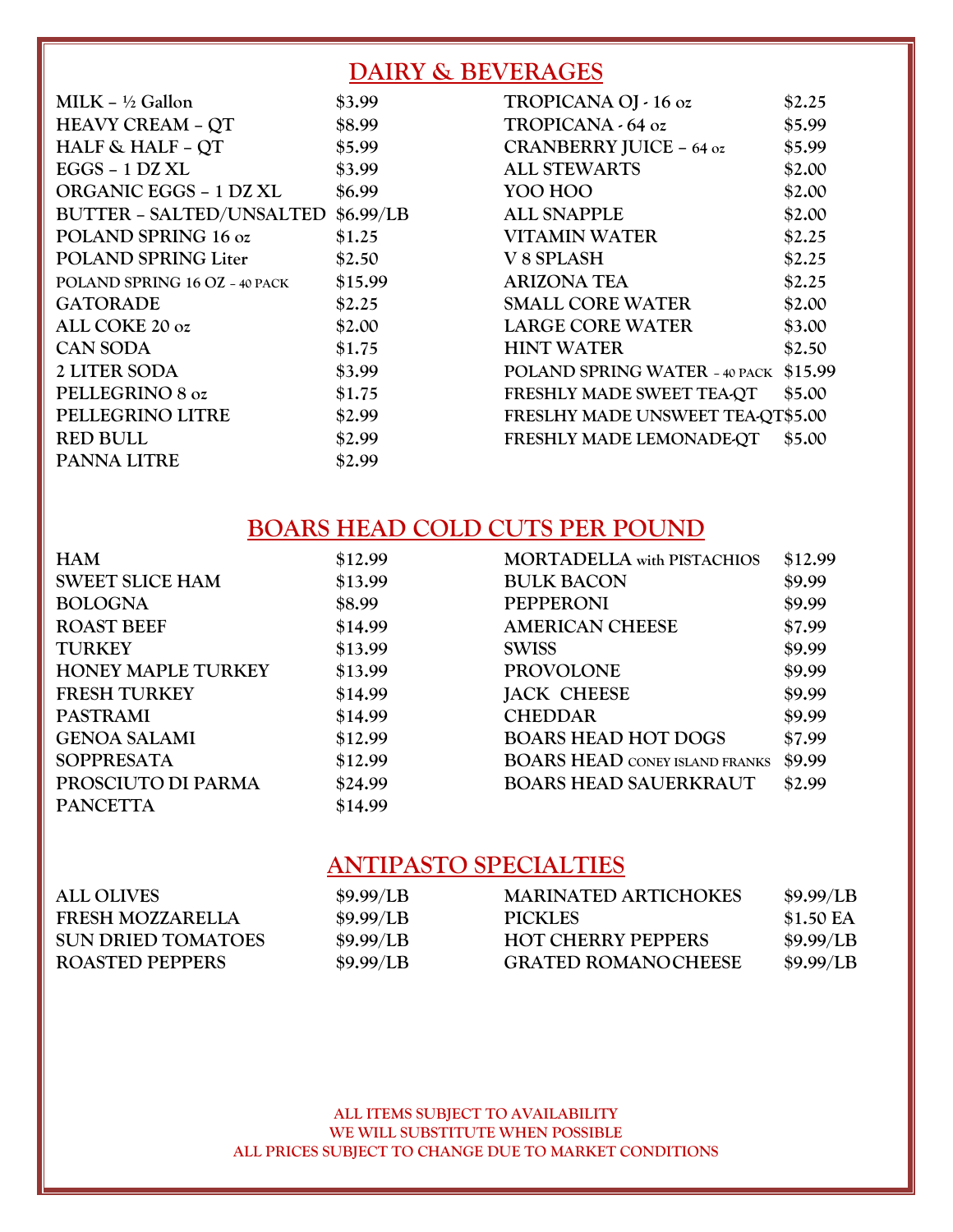#### **DAIRY & BEVERAGES**

| $MILK - ½$ Gallon               | \$3.99    |
|---------------------------------|-----------|
| <b>HEAVY CREAM - QT</b>         | \$8.99    |
| <b>HALF &amp; HALF - QT</b>     | \$5.99    |
| $EGGS - 1 DZXL$                 | \$3.99    |
| <b>ORGANIC EGGS - 1 DZ XL</b>   | \$6.99    |
| <b>BUTTER - SALTED/UNSALTED</b> | \$6.99/LB |
| POLAND SPRING 16 oz             | \$1.25    |
| <b>POLAND SPRING Liter</b>      | \$2.50    |
| POLAND SPRING 16 OZ - 40 PACK   | \$15.99   |
| GATORADE                        | \$2.25    |
| ALL COKE 20 oz                  | \$2.00    |
| <b>CAN SODA</b>                 | \$1.75    |
| <b>2 LITER SODA</b>             | \$3.99    |
| PELLEGRINO 8 oz                 | \$1.75    |
| PELLEGRINO LITRE                | \$2.99    |
| <b>RED BULL</b>                 | \$2.99    |
| <b>PANNA LITRE</b>              | \$2.99    |
|                                 |           |

| TROPICANA OJ - 16 oz              | \$2.25  |
|-----------------------------------|---------|
| TROPICANA - 64 oz                 | \$5.99  |
| CRANBERRY JUICE - 64 oz           | \$5.99  |
| <b>ALL STEWARTS</b>               | \$2.00  |
| YOO HOO                           | \$2.00  |
| <b>ALL SNAPPLE</b>                | \$2.00  |
| VITAMIN WATER                     | \$2.25  |
| V 8 SPLASH                        | \$2.25  |
| <b>ARIZONA TEA</b>                | \$2.25  |
| <b>SMALL CORE WATER</b>           | \$2.00  |
| <b>LARGE CORE WATER</b>           | \$3.00  |
| <b>HINT WATER</b>                 | \$2.50  |
| POLAND SPRING WATER - 40 PACK     | \$15.99 |
| FRESHLY MADE SWEET TEA-QT         | \$5.00  |
| FRESLHY MADE UNSWEET TEA-QT\$5.00 |         |
| FRESHLY MADE LEMONADE QT          | \$5.00  |
|                                   |         |

#### **BOARS HEAD COLD CUTS PER POUND**

| <b>HAM</b>                | \$12.99 | <b>MORTADELLA</b> with PISTACHIOS     | \$12.99 |
|---------------------------|---------|---------------------------------------|---------|
| <b>SWEET SLICE HAM</b>    | \$13.99 | <b>BULK BACON</b>                     | \$9.99  |
| <b>BOLOGNA</b>            | \$8.99  | <b>PEPPERONI</b>                      | \$9.99  |
| <b>ROAST BEEF</b>         | \$14.99 | <b>AMERICAN CHEESE</b>                | \$7.99  |
| <b>TURKEY</b>             | \$13.99 | <b>SWISS</b>                          | \$9.99  |
| <b>HONEY MAPLE TURKEY</b> | \$13.99 | <b>PROVOLONE</b>                      | \$9.99  |
| <b>FRESH TURKEY</b>       | \$14.99 | <b>JACK CHEESE</b>                    | \$9.99  |
| <b>PASTRAMI</b>           | \$14.99 | <b>CHEDDAR</b>                        | \$9.99  |
| <b>GENOA SALAMI</b>       | \$12.99 | <b>BOARS HEAD HOT DOGS</b>            | \$7.99  |
| <b>SOPPRESATA</b>         | \$12.99 | <b>BOARS HEAD CONEY ISLAND FRANKS</b> | \$9.99  |
| PROSCIUTO DI PARMA        | \$24.99 | <b>BOARS HEAD SAUERKRAUT</b>          | \$2.99  |
| <b>PANCETTA</b>           | \$14.99 |                                       |         |

#### **ANTIPASTO SPECIALTIES**

| \$9.99/LB | <b>MARINATED ARTICHOKES</b> | \$9.99/LB |
|-----------|-----------------------------|-----------|
| \$9.99/LB | <b>PICKLES</b>              | \$1.50 EA |
| \$9.99/LB | <b>HOT CHERRY PEPPERS</b>   | \$9.99/LB |
| \$9.99/LB | <b>GRATED ROMANOCHEESE</b>  | \$9.99/LB |
|           |                             |           |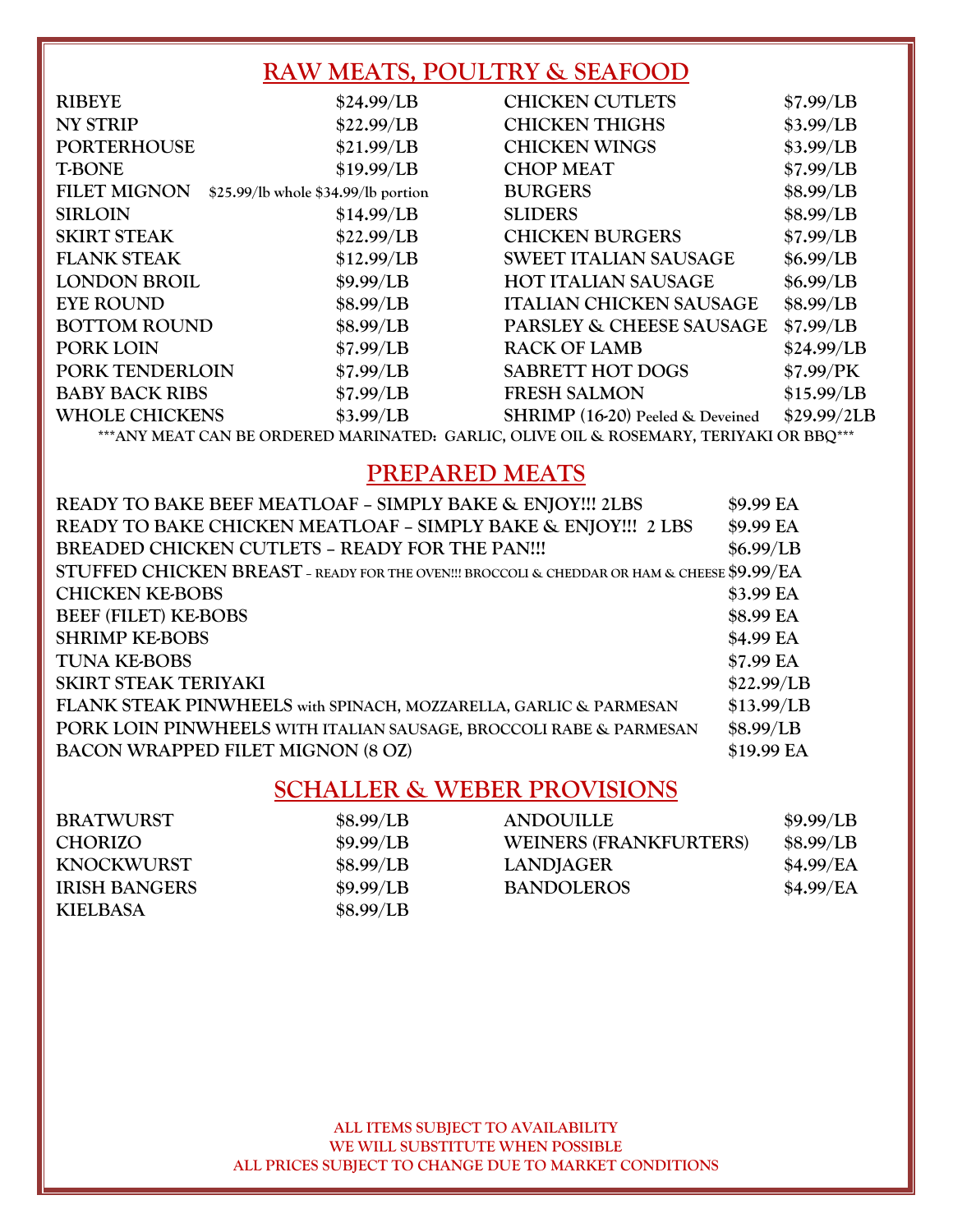#### **RAW MEATS, POULTRY & SEAFOOD**

| <b>RIBEYE</b>         | \$24.99/LB                          | <b>CHICKEN CUTLETS</b>           | \$7.99/LB   |
|-----------------------|-------------------------------------|----------------------------------|-------------|
| <b>NY STRIP</b>       | \$22.99/LB                          | <b>CHICKEN THIGHS</b>            | \$3.99/LB   |
| <b>PORTERHOUSE</b>    | \$21.99/LB                          | <b>CHICKEN WINGS</b>             | \$3.99/LB   |
| <b>T-BONE</b>         | \$19.99/LB                          | <b>CHOP MEAT</b>                 | \$7.99/LB   |
| <b>FILET MIGNON</b>   | \$25.99/lb whole \$34.99/lb portion | <b>BURGERS</b>                   | \$8.99/LB   |
| <b>SIRLOIN</b>        | \$14.99/LB                          | <b>SLIDERS</b>                   | \$8.99/LB   |
| <b>SKIRT STEAK</b>    | \$22.99/LB                          | <b>CHICKEN BURGERS</b>           | \$7.99/LB   |
| <b>FLANK STEAK</b>    | \$12.99/LB                          | <b>SWEET ITALIAN SAUSAGE</b>     | \$6.99/LB   |
| <b>LONDON BROIL</b>   | \$9.99/LB                           | <b>HOT ITALIAN SAUSAGE</b>       | \$6.99/LB   |
| <b>EYE ROUND</b>      | \$8.99/LB                           | <b>ITALIAN CHICKEN SAUSAGE</b>   | \$8.99/LB   |
| <b>BOTTOM ROUND</b>   | \$8.99/LB                           | PARSLEY & CHEESE SAUSAGE         | \$7.99/LB   |
| PORK LOIN             | \$7.99/LB                           | <b>RACK OF LAMB</b>              | \$24.99/LB  |
| PORK TENDERLOIN       | \$7.99/LB                           | <b>SABRETT HOT DOGS</b>          | \$7.99/PK   |
| <b>BABY BACK RIBS</b> | \$7.99/LB                           | <b>FRESH SALMON</b>              | \$15.99/LB  |
| <b>WHOLE CHICKENS</b> | \$3.99/LB                           | SHRIMP (16-20) Peeled & Deveined | \$29.99/2LB |
|                       |                                     |                                  |             |

**\*\*\*ANY MEAT CAN BE ORDERED MARINATED: GARLIC, OLIVE OIL & ROSEMARY, TERIYAKI OR BBQ\*\*\***

#### **PREPARED MEATS**

| READY TO BAKE BEEF MEATLOAF - SIMPLY BAKE & ENJOY!!! 2LBS                                   | \$9.99 EA  |
|---------------------------------------------------------------------------------------------|------------|
| READY TO BAKE CHICKEN MEATLOAF - SIMPLY BAKE & ENJOY!!! 2 LBS                               | \$9.99 EA  |
| BREADED CHICKEN CUTLETS - READY FOR THE PAN!!!                                              | \$6.99/LB  |
| STUFFED CHICKEN BREAST - READY FOR THE OVEN!!! BROCCOLI & CHEDDAR OR HAM & CHEESE \$9.99/EA |            |
| <b>CHICKEN KE-BOBS</b>                                                                      | \$3.99 EA  |
| <b>BEEF (FILET) KE-BOBS</b>                                                                 | \$8.99 EA  |
| <b>SHRIMP KE-BOBS</b>                                                                       | \$4.99 EA  |
| <b>TUNA KE-BOBS</b>                                                                         | \$7.99 EA  |
| SKIRT STEAK TERIYAKI                                                                        | \$22.99/LB |
| FLANK STEAK PINWHEELS with SPINACH, MOZZARELLA, GARLIC & PARMESAN                           | \$13.99/LB |
| PORK LOIN PINWHEELS WITH ITALIAN SAUSAGE, BROCCOLI RABE & PARMESAN                          | \$8.99/LB  |
| <b>BACON WRAPPED FILET MIGNON (8 OZ)</b>                                                    | \$19.99 EA |
|                                                                                             |            |

#### **SCHALLER & WEBER PROVISIONS**

| <b>BRATWURST</b>     | \$8.99/LB | <b>ANDOUILLE</b>       | \$9.99/LB |
|----------------------|-----------|------------------------|-----------|
| <b>CHORIZO</b>       | \$9.99/LB | WEINERS (FRANKFURTERS) | \$8.99/LB |
| <b>KNOCKWURST</b>    | \$8.99/LB | LANDJAGER              | \$4.99/EA |
| <b>IRISH BANGERS</b> | \$9.99/LB | <b>BANDOLEROS</b>      | \$4.99/EA |
| <b>KIELBASA</b>      | \$8.99/LB |                        |           |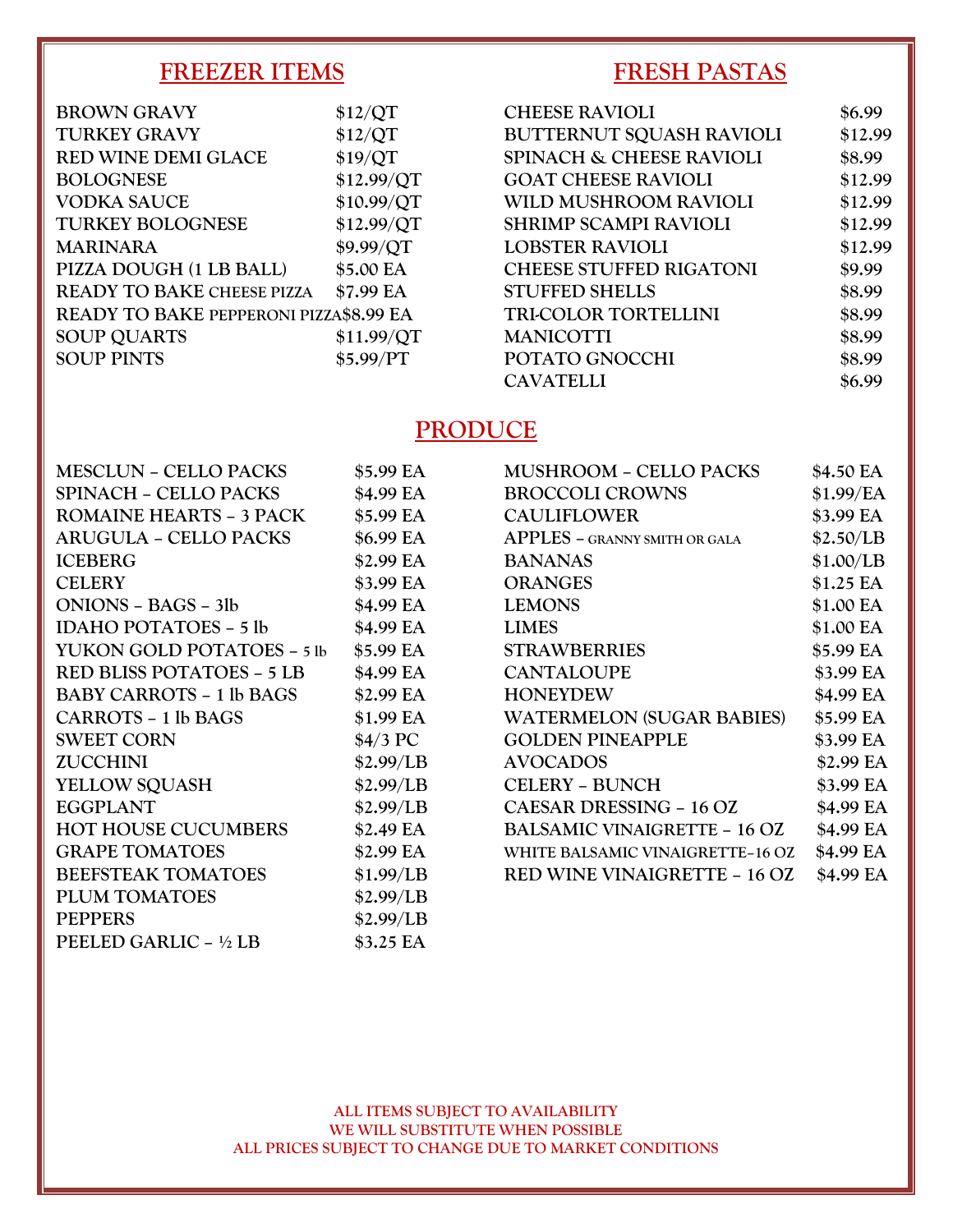#### **FREEZER ITEMS**

#### **BROWN GRAVY \$12/QT TURKEY GRAVY \$12/QT RED WINE DEMI GLACE \$19/QT BOLOGNESE \$12.99/QT VODKA SAUCE \$10.99/QT TURKEY BOLOGNESE \$12.99/QT MARINARA \$9.99/QT PIZZA DOUGH (1 LB BALL) \$5.00 EA READY TO BAKE CHEESE PIZZA \$7.99 EA READY TO BAKE PEPPERONI PIZZA\$8.99 EA SOUP QUARTS \$11.99/QT SOUP PINTS \$5.99/PT**

#### **FRESH PASTAS**

| <b>CHEESE RAVIOLI</b>               | \$6.99  |
|-------------------------------------|---------|
| <b>BUTTERNUT SQUASH RAVIOLI</b>     | \$12.99 |
| <b>SPINACH &amp; CHEESE RAVIOLI</b> | \$8.99  |
| <b>GOAT CHEESE RAVIOLI</b>          | \$12.99 |
| WILD MUSHROOM RAVIOLI               | \$12.99 |
| <b>SHRIMP SCAMPI RAVIOLI</b>        | \$12.99 |
| <b>LOBSTER RAVIOLI</b>              | \$12.99 |
| <b>CHEESE STUFFED RIGATONI</b>      | \$9.99  |
| <b>STUFFED SHELLS</b>               | \$8.99  |
| <b>TRI-COLOR TORTELLINI</b>         | \$8.99  |
| <b>MANICOTTI</b>                    | \$8.99  |
| POTATO GNOCCHI                      | \$8.99  |
| <b>CAVATELLI</b>                    | \$6.99  |

#### **PRODUCE**

| <b>MESCLUN - CELLO PACKS</b>     | \$5.99 EA | <b>MUSHROOM - CELLO PACKS</b>        | \$4.50 EA |
|----------------------------------|-----------|--------------------------------------|-----------|
| <b>SPINACH – CELLO PACKS</b>     | \$4.99 EA | <b>BROCCOLI CROWNS</b>               | \$1.99/EA |
| <b>ROMAINE HEARTS - 3 PACK</b>   | \$5.99 EA | <b>CAULIFLOWER</b>                   | \$3.99 EA |
| <b>ARUGULA - CELLO PACKS</b>     | \$6.99 EA | <b>APPLES - GRANNY SMITH OR GALA</b> | \$2.50/LB |
| <b>ICEBERG</b>                   | \$2.99 EA | <b>BANANAS</b>                       | \$1.00/LB |
| <b>CELERY</b>                    | \$3.99 EA | <b>ORANGES</b>                       | \$1.25 EA |
| ONIONS - BAGS - 3lb              | \$4.99 EA | <b>LEMONS</b>                        | \$1.00 EA |
| <b>IDAHO POTATOES – 5 lb</b>     | \$4.99 EA | <b>LIMES</b>                         | \$1.00 EA |
| YUKON GOLD POTATOES - 5 lb       | \$5.99 EA | <b>STRAWBERRIES</b>                  | \$5.99 EA |
| <b>RED BLISS POTATOES - 5 LB</b> | \$4.99 EA | <b>CANTALOUPE</b>                    | \$3.99 EA |
| <b>BABY CARROTS - 1 lb BAGS</b>  | \$2.99 EA | <b>HONEYDEW</b>                      | \$4.99 EA |
| <b>CARROTS - 1 lb BAGS</b>       | \$1.99 EA | <b>WATERMELON (SUGAR BABIES)</b>     | \$5.99 EA |
| <b>SWEET CORN</b>                | \$4/3 PC  | <b>GOLDEN PINEAPPLE</b>              | \$3.99 EA |
| <b>ZUCCHINI</b>                  | \$2.99/LB | <b>AVOCADOS</b>                      | \$2.99 EA |
| <b>YELLOW SQUASH</b>             | \$2.99/LB | <b>CELERY - BUNCH</b>                | \$3.99 EA |
| <b>EGGPLANT</b>                  | \$2.99/LB | CAESAR DRESSING - 16 OZ              | \$4.99 EA |
| <b>HOT HOUSE CUCUMBERS</b>       | \$2.49 EA | <b>BALSAMIC VINAIGRETTE - 16 OZ</b>  | \$4.99 EA |
| <b>GRAPE TOMATOES</b>            | \$2.99 EA | WHITE BALSAMIC VINAIGRETTE-16 OZ     | \$4.99 EA |
| <b>BEEFSTEAK TOMATOES</b>        | \$1.99/LB | <b>RED WINE VINAIGRETTE - 16 OZ</b>  | \$4.99 EA |
| PLUM TOMATOES                    | \$2.99/LB |                                      |           |
| <b>PEPPERS</b>                   | \$2.99/LB |                                      |           |
| PEELED GARLIC - 1/2 LB           | \$3.25 EA |                                      |           |